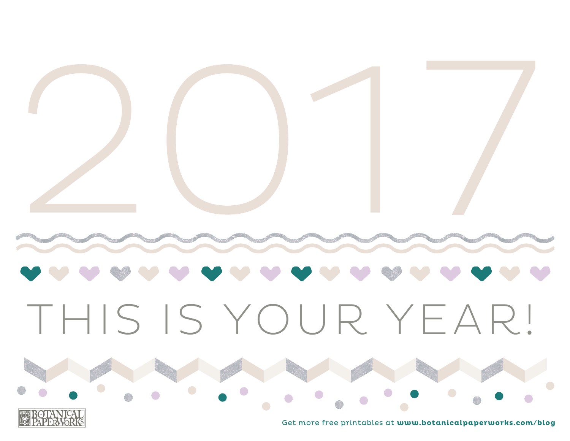

Get more free printables at **www.botanicalpaperworks.com/blog**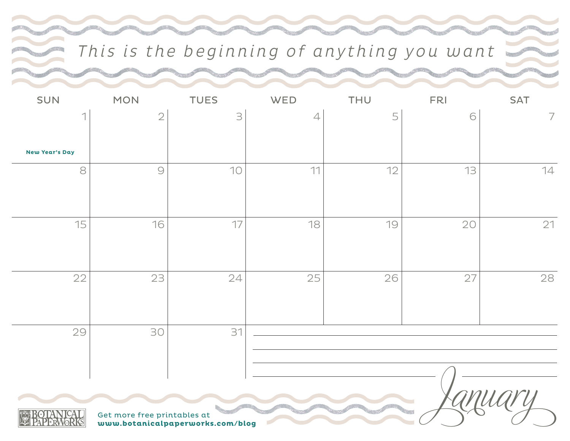### This is the beginning of anything you want

| SUN                   | <b>MON</b>                  | <b>TUES</b>                      | WED            | THU | <b>FRI</b> | <b>SAT</b>     |
|-----------------------|-----------------------------|----------------------------------|----------------|-----|------------|----------------|
|                       | $\sqrt{2}$                  | $\exists$                        | $\overline{4}$ | 5   | 6          | $\overline{7}$ |
| <b>New Year's Day</b> |                             |                                  |                |     |            |                |
| 8                     | $\bigcirc$                  | 10                               | 11             | 12  | 13         | 14             |
| 15                    | 16                          | 17                               | 18             | 19  | 20         | 21             |
| 22                    | 23                          | 24                               | 25             | 26  | 27         | 28             |
| 29                    | 30                          | 31                               |                |     |            |                |
|                       | Get more free printables at | www.botanicalpaperworks.com/blog |                |     |            |                |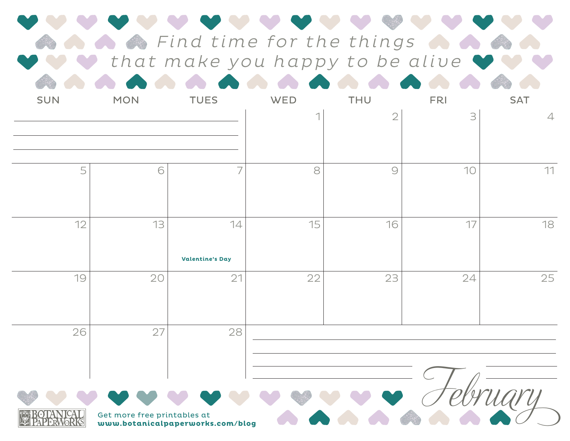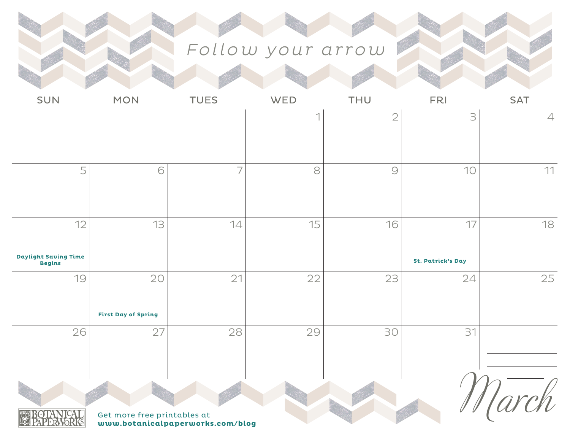# Follow your arrow

| <b>SUN</b>                                   | <b>MON</b>                  | <b>TUES</b>                      | WED | THU            | <b>FRI</b>               | <b>SAT</b>     |
|----------------------------------------------|-----------------------------|----------------------------------|-----|----------------|--------------------------|----------------|
|                                              |                             |                                  |     | $\overline{2}$ | 3                        | $\overline{4}$ |
| 5                                            | 6                           | $\overline{7}$                   | 8   | $\bigcirc$     | 10                       | 11             |
| 12                                           | 13                          | 14                               | 15  | 16             | 17                       | 18             |
| <b>Daylight Saving Time</b><br><b>Begins</b> |                             |                                  |     |                | <b>St. Patrick's Day</b> |                |
| 19                                           | 20                          | 21                               | 22  | 23             | 24                       | 25             |
|                                              | <b>First Day of Spring</b>  |                                  |     |                |                          |                |
| 26                                           | 27                          | 28                               | 29  | 30             | 31                       |                |
|                                              | Get more free printables at | www.botanicalpaperworks.com/blog |     |                |                          |                |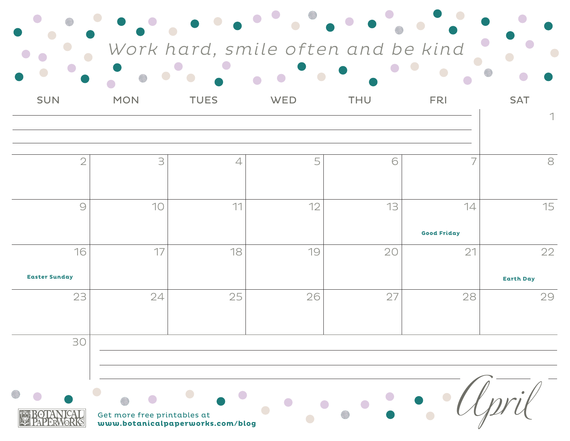|                            |                             |                                  | Work hard, smile often and be kind |            |                          |                        |
|----------------------------|-----------------------------|----------------------------------|------------------------------------|------------|--------------------------|------------------------|
| <b>SUN</b>                 | <b>MON</b>                  | <b>TUES</b>                      | WED                                | <b>THU</b> | <b>FRI</b>               | <b>SAT</b>             |
|                            |                             |                                  |                                    |            |                          |                        |
| $\overline{2}$             | 3                           | $\overline{4}$                   | 5                                  | 6          |                          | 8                      |
| $\circ$                    | 10                          | 11                               | 12                                 | 13         | 14<br><b>Good Friday</b> | 15                     |
| 16<br><b>Easter Sunday</b> | 17                          | 18                               | 19                                 | 20         | 21                       | 22<br><b>Earth Day</b> |
| 23                         | 24                          | 25                               | 26                                 | 27         | 28                       | 29                     |
| 30                         |                             |                                  |                                    |            |                          |                        |
|                            | Get more free printables at | www.botanicalpaperworks.com/blog |                                    |            |                          |                        |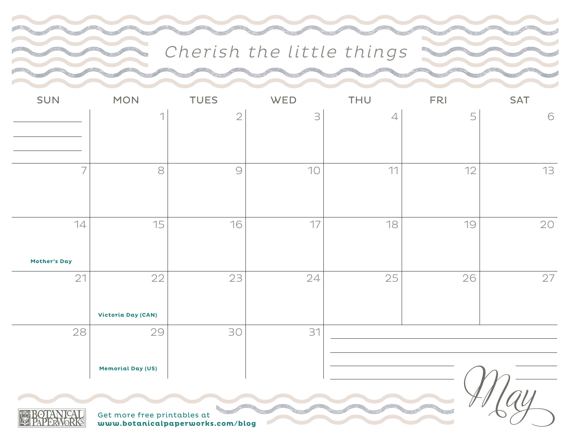### Cherish the little things

| SUN                                                             | <b>MON</b>                     | <b>TUES</b>    | WED | <b>THU</b>     | <b>FRI</b> | <b>SAT</b> |  |
|-----------------------------------------------------------------|--------------------------------|----------------|-----|----------------|------------|------------|--|
|                                                                 | ⊣                              | $\overline{2}$ | 3   | $\overline{4}$ | 5          | 6          |  |
| $\overline{7}$                                                  | 8                              | $\bigcirc$     | 10  | 11             | 12         | 13         |  |
|                                                                 |                                |                |     |                |            |            |  |
| 14<br><b>Mother's Day</b>                                       | 15                             | 16             | 17  | 18             | 19         | 20         |  |
| 21                                                              | 22<br>Victoria Day (CAN)       | 23             | 24  | 25             | 26         | 27         |  |
| 28                                                              | 29<br><b>Memorial Day (US)</b> | 30             | 31  |                |            |            |  |
| Get more free printables at<br>www.botanicalpaperworks.com/blog |                                |                |     |                |            |            |  |



 $\sim$  ,  $\epsilon$ 

**www.botanicalpaperworks.com/blog**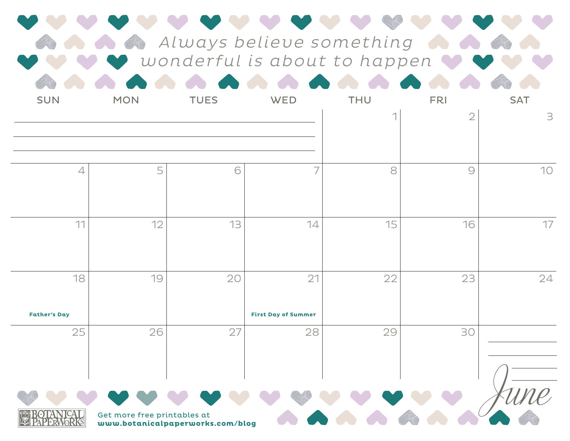|                           | Always believe something<br>wonderful is about to happen |                                  |                                  |            |                              |                 |  |  |
|---------------------------|----------------------------------------------------------|----------------------------------|----------------------------------|------------|------------------------------|-----------------|--|--|
| <b>SUN</b>                | <b>MON</b>                                               | <b>TUES</b>                      | WED                              | <b>THU</b> | <b>FRI</b><br>$\overline{2}$ | <b>SAT</b><br>3 |  |  |
| $\overline{4}$            | 5                                                        | 6                                |                                  | 8          | $\bigcirc$                   | 10              |  |  |
| 11                        | 12                                                       | 13                               | 14                               | 15         | 16                           | 17              |  |  |
| 18<br><b>Father's Day</b> | 19                                                       | 20                               | 21<br><b>First Day of Summer</b> | 22         | 23                           | 24              |  |  |
| 25                        | 26                                                       | 27                               | 28                               | 29         | 30                           |                 |  |  |
|                           | Get more free printables at                              | www.botanicalpaperworks.com/blog |                                  |            |                              |                 |  |  |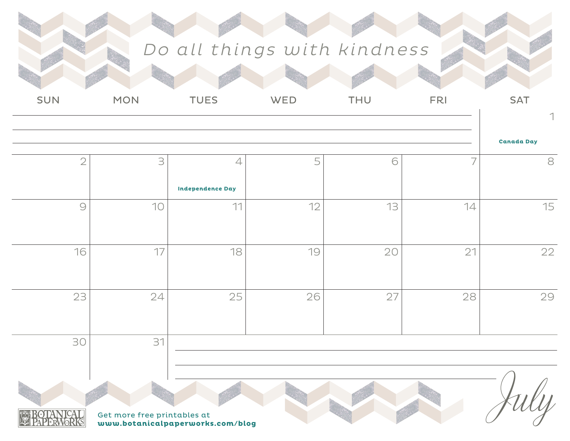## Do all things with kindness

| <b>SUN</b>     | <b>MON</b>                  | <b>TUES</b>                      | WED | THU | <b>FRI</b>               | <b>SAT</b>        |
|----------------|-----------------------------|----------------------------------|-----|-----|--------------------------|-------------------|
|                |                             |                                  |     |     |                          |                   |
|                |                             |                                  |     |     |                          | <b>Canada Day</b> |
| $\overline{2}$ | $\supseteq$                 | $\overline{4}$                   | 5   | 6   | $\overline{\phantom{a}}$ | $\mbox{8}$        |
|                |                             | <b>Independence Day</b>          |     |     |                          |                   |
| $\bigcirc$     | 10                          | 11                               | 12  | 13  | 14                       | 15                |
|                |                             |                                  |     |     |                          |                   |
| 16             | 17                          | 18                               | 19  | 20  | 21                       | 22                |
|                |                             |                                  |     |     |                          |                   |
| 23             | 24                          | 25                               | 26  | 27  | 28                       | 29                |
|                |                             |                                  |     |     |                          |                   |
| 30             | 31                          |                                  |     |     |                          |                   |
|                |                             |                                  |     |     |                          |                   |
|                |                             |                                  |     |     |                          |                   |
|                | Get more free printables at |                                  |     |     |                          |                   |
|                |                             | www.botanicalpaperworks.com/blog |     |     |                          |                   |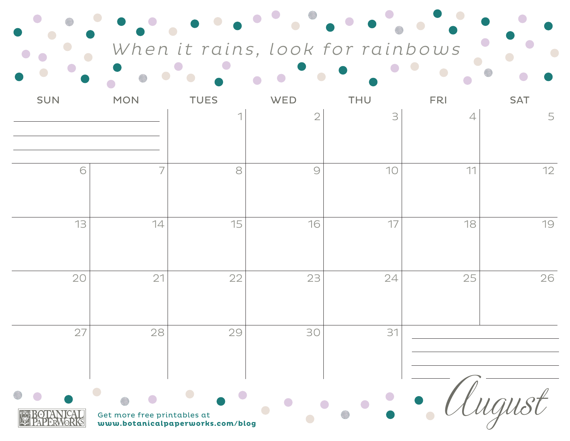When it rains, look for rainbows  $\bullet$   $\bullet$   $\bullet$ 

 $\bullet$ 

 $\bullet$ 

 $\bullet$ 

 $\bullet$ 

 $\bullet$ 

 $\bullet$ 

 $\bullet$   $\bullet$   $\bullet$ 

| <b>SUN</b> | <b>MON</b>                  | <b>TUES</b>                      | WED            | THU | <b>FRI</b>     | <b>SAT</b> |
|------------|-----------------------------|----------------------------------|----------------|-----|----------------|------------|
|            |                             |                                  | $\overline{2}$ | 3   | $\overline{4}$ | 5          |
| 6          | $\overline{7}$              | 8                                | $\bigcirc$     | 10  | 11             | 12         |
| 13         | 14                          | 15                               | 16             | 17  | 18             | 19         |
| 20         | 21                          | 22                               | 23             | 24  | 25             | 26         |
| 27         | 28                          | 29                               | 30             | 31  |                |            |
| К          | Get more free printables at | www.botanicalpaperworks.com/blog |                |     |                | uyus       |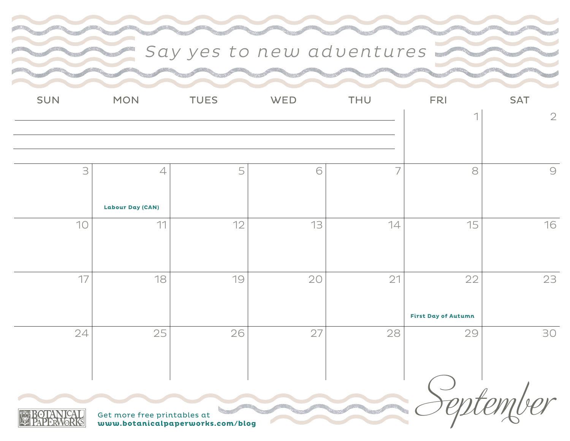### Say yes to new adventures

| SUN | <b>MON</b>                                | <b>TUES</b> | WED            | THU            | <b>FRI</b>                       | <b>SAT</b> |
|-----|-------------------------------------------|-------------|----------------|----------------|----------------------------------|------------|
|     |                                           |             | $\overline{2}$ |                |                                  |            |
| 3   | $\overline{4}$<br><b>Labour Day (CAN)</b> | 5           | 6              | $\overline{7}$ | 8                                | $\bigcirc$ |
| 10  | 11                                        | 12          | 13             | 14             | 15                               | 16         |
| 17  | 18                                        | 19          | 20             | 21             | 22<br><b>First Day of Autumn</b> | 23         |
| 24  | 25                                        | 26          | 27             | 28             | 29                               | 30         |

**www.botanicalpaperworks.com/blog** September

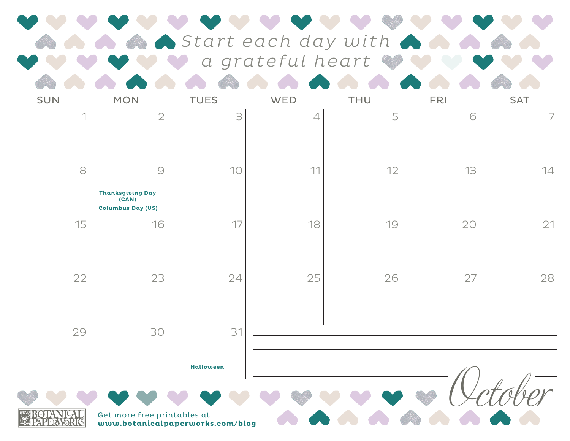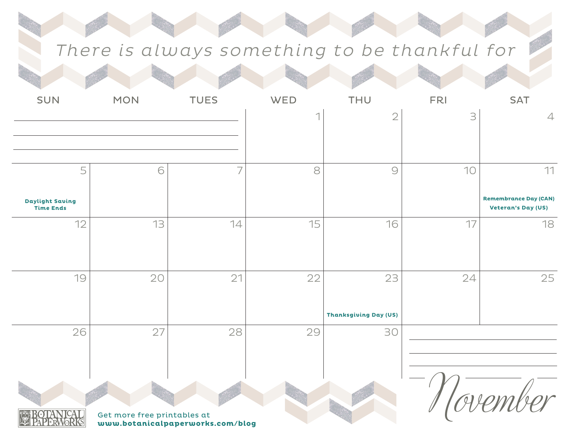### There is always something to be thankful for

| SUN                                  | <b>MON</b>                  | <b>TUES</b>                      | WED | THU                          | <b>FRI</b> | <b>SAT</b>                                                |
|--------------------------------------|-----------------------------|----------------------------------|-----|------------------------------|------------|-----------------------------------------------------------|
|                                      |                             |                                  |     | $\overline{2}$               | 3          | $\overline{4}$                                            |
|                                      |                             |                                  |     |                              |            |                                                           |
|                                      |                             |                                  |     |                              |            |                                                           |
| 5                                    | 6                           | $\overline{7}$                   | 8   | $\bigcirc$                   | 10         | 11                                                        |
| <b>Daylight Saving<br/>Time Ends</b> |                             |                                  |     |                              |            | <b>Remembrance Day (CAN)</b><br><b>Veteran's Day (US)</b> |
| 12                                   | 13                          | 14                               | 15  | 16                           | 17         | 18                                                        |
|                                      |                             |                                  |     |                              |            |                                                           |
| 19                                   | 20                          | 21                               | 22  | 23                           | 24         | 25                                                        |
|                                      |                             |                                  |     |                              |            |                                                           |
|                                      |                             |                                  |     | <b>Thanksgiving Day (US)</b> |            |                                                           |
| 26                                   | 27                          | 28                               | 29  | 30                           |            |                                                           |
|                                      |                             |                                  |     |                              |            |                                                           |
|                                      |                             |                                  |     |                              |            |                                                           |
|                                      |                             |                                  |     |                              |            |                                                           |
| КS                                   | Get more free printables at | www.botanicalpaperworks.com/blog |     |                              |            |                                                           |